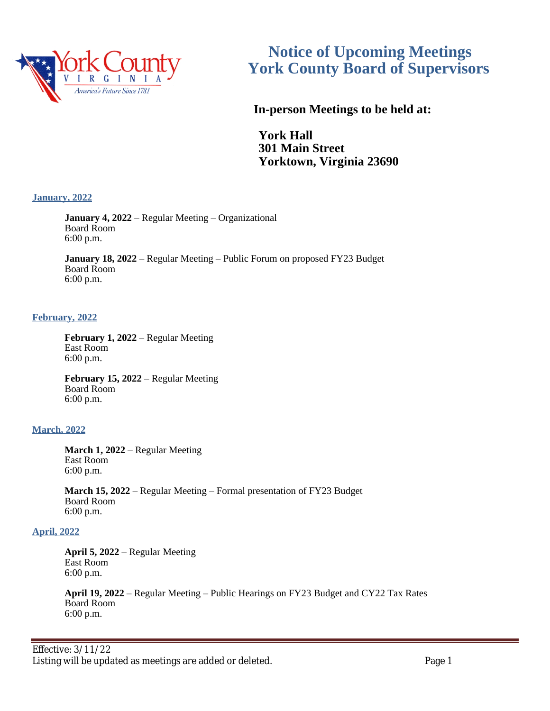

# **Notice of Upcoming Meetings York County Board of Supervisors**

 **In-person Meetings to be held at:**

**York Hall 301 Main Street Yorktown, Virginia 23690**

# **January, 2022**

**January 4, 2022** – Regular Meeting – Organizational Board Room 6:00 p.m.

**January 18, 2022** – Regular Meeting – Public Forum on proposed FY23 Budget Board Room 6:00 p.m.

# **February, 2022**

**February 1, 2022** – Regular Meeting East Room 6:00 p.m.

**February 15, 2022** – Regular Meeting Board Room 6:00 p.m.

# **March, 2022**

**March 1, 2022** – Regular Meeting East Room 6:00 p.m.

**March 15, 2022** – Regular Meeting – Formal presentation of FY23 Budget Board Room 6:00 p.m.

## **April, 2022**

**April 5, 2022** – Regular Meeting East Room 6:00 p.m.

**April 19, 2022** – Regular Meeting – Public Hearings on FY23 Budget and CY22 Tax Rates Board Room 6:00 p.m.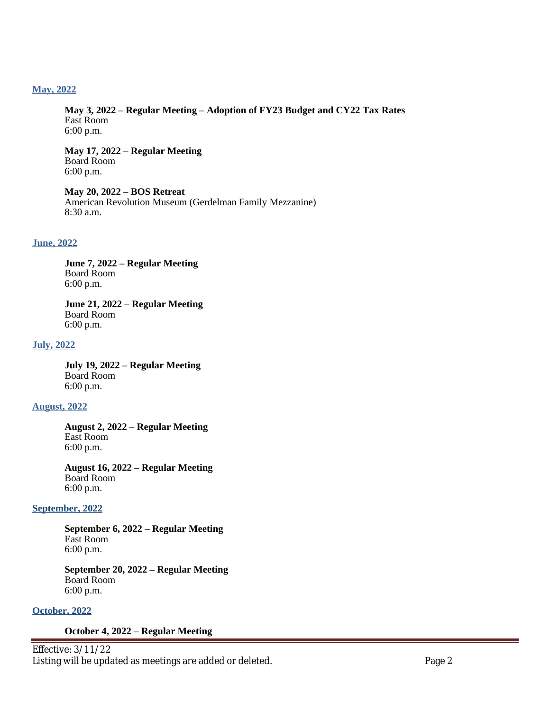## **May, 2022**

**May 3, 2022 – Regular Meeting – Adoption of FY23 Budget and CY22 Tax Rates** East Room 6:00 p.m.

**May 17, 2022 – Regular Meeting** Board Room 6:00 p.m.

**May 20, 2022 – BOS Retreat** American Revolution Museum (Gerdelman Family Mezzanine) 8:30 a.m.

#### **June, 2022**

**June 7, 2022 – Regular Meeting** Board Room 6:00 p.m.

**June 21, 2022 – Regular Meeting** Board Room 6:00 p.m.

#### **July, 2022**

**July 19, 2022 – Regular Meeting** Board Room 6:00 p.m.

## **August, 2022**

**August 2, 2022 – Regular Meeting** East Room 6:00 p.m.

**August 16, 2022 – Regular Meeting** Board Room 6:00 p.m.

## **September, 2022**

**September 6, 2022 – Regular Meeting** East Room 6:00 p.m.

**September 20, 2022 – Regular Meeting** Board Room 6:00 p.m.

# **October, 2022**

#### **October 4, 2022 – Regular Meeting**